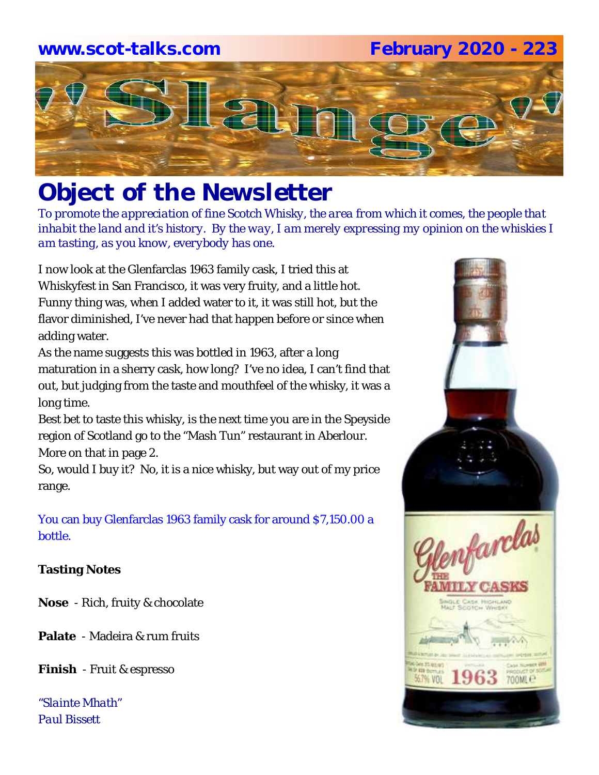#### **www.scot-talks.com February 2020 - 223**



## *Object of the Newsletter*

*To promote the appreciation of fine Scotch Whisky, the area from which it comes, the people that inhabit the land and it's history. By the way, I am merely expressing my opinion on the whiskies I am tasting, as you know, everybody has one.* 

I now look at the Glenfarclas 1963 family cask, I tried this at Whiskyfest in San Francisco, it was very fruity, and a little hot. Funny thing was, when I added water to it, it was still hot, but the flavor diminished, I've never had that happen before or since when adding water.

As the name suggests this was bottled in 1963, after a long maturation in a sherry cask, how long? I've no idea, I can't find that out, but judging from the taste and mouthfeel of the whisky, it was a long time.

Best bet to taste this whisky, is the next time you are in the Speyside region of Scotland go to the "Mash Tun" restaurant in Aberlour. More on that in page 2.

So, would I buy it? No, it is a nice whisky, but way out of my price range.

You can buy Glenfarclas 1963 family cask for around \$7,150.00 a bottle.

#### **Tasting Notes**

**Nose** - Rich, fruity & chocolate

**Palate** - Madeira & rum fruits

**Finish** - Fruit & espresso

*"Slainte Mhath" Paul Bissett*

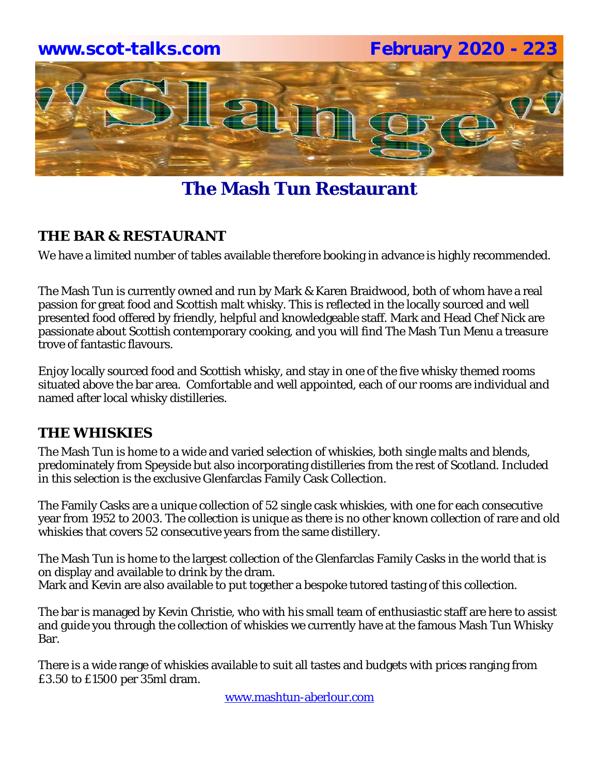

### **The Mash Tun Restaurant**

#### **THE BAR & RESTAURANT**

We have a limited number of tables available therefore booking in advance is highly recommended.

The Mash Tun is currently owned and run by Mark & Karen Braidwood, both of whom have a real passion for great food and Scottish malt whisky. This is reflected in the locally sourced and well presented food offered by friendly, helpful and knowledgeable staff. Mark and Head Chef Nick are passionate about Scottish contemporary cooking, and you will find The Mash Tun Menu a treasure trove of fantastic flavours.

Enjoy locally sourced food and Scottish whisky, and stay in one of the five whisky themed rooms situated above the bar area. Comfortable and well appointed, each of our rooms are individual and named after local whisky distilleries.

#### **THE WHISKIES**

The Mash Tun is home to a wide and varied selection of whiskies, both single malts and blends, predominately from Speyside but also incorporating distilleries from the rest of Scotland. Included in this selection is the exclusive Glenfarclas Family Cask Collection.

The Family Casks are a unique collection of 52 single cask whiskies, with one for each consecutive year from 1952 to 2003. The collection is unique as there is no other known collection of rare and old whiskies that covers 52 consecutive years from the same distillery.

The Mash Tun is home to the largest collection of the Glenfarclas Family Casks in the world that is on display and available to drink by the dram. Mark and Kevin are also available to put together a bespoke tutored tasting of this collection.

The bar is managed by Kevin Christie, who with his small team of enthusiastic staff are here to assist and guide you through the collection of whiskies we currently have at the famous Mash Tun Whisky Bar.

There is a wide range of whiskies available to suit all tastes and budgets with prices ranging from £3.50 to £1500 per 35ml dram.

www.mashtun-aberlour.com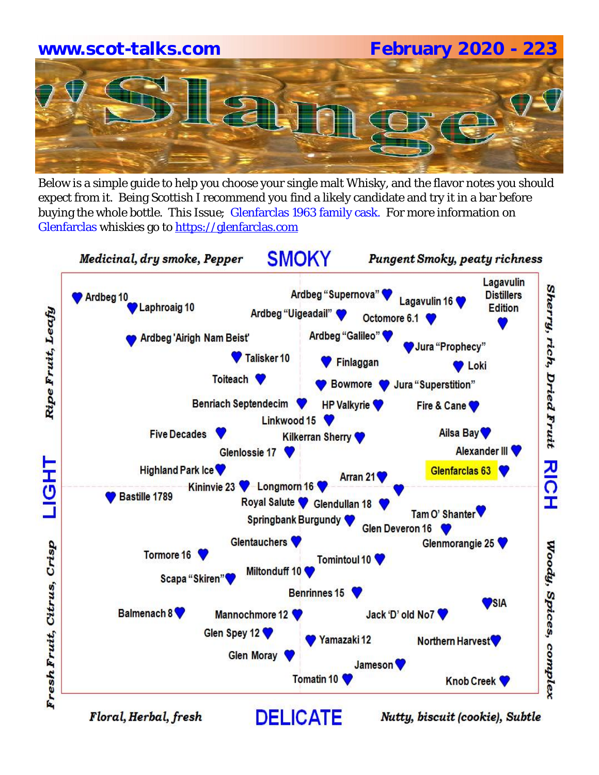# **www.scot-talks.com February 2020 - 223**

Below is a simple guide to help you choose your single malt Whisky, and the flavor notes you should expect from it. Being Scottish I recommend you find a likely candidate and try it in a bar before buying the whole bottle. This Issue; Glenfarclas 1963 family cask. For more information on Glenfarclas whiskies go to https://glenfarclas.com

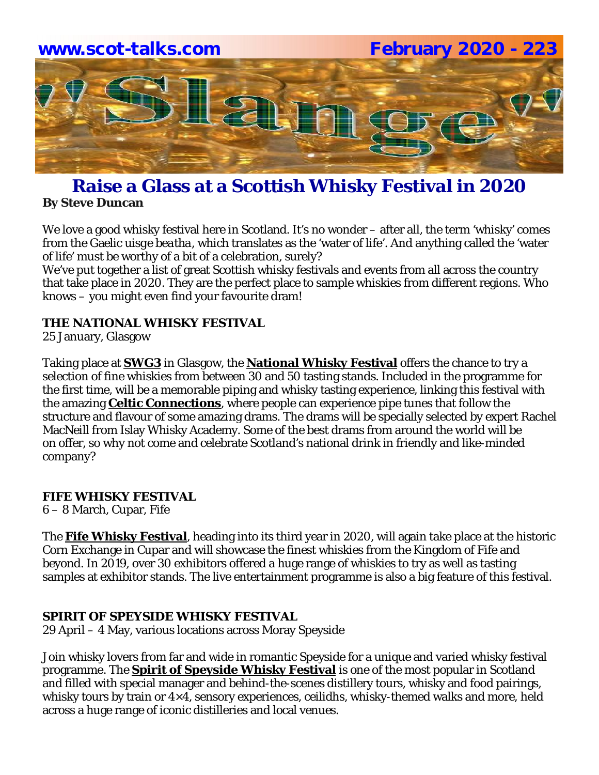

#### **Raise a Glass at a Scottish Whisky Festival in 2020 By Steve Duncan**

We love a good whisky festival here in Scotland. It's no wonder – after all, the term 'whisky' comes from the Gaelic *uisge beatha*, which translates as the 'water of life'. And anything called the 'water of life' must be worthy of a bit of a celebration, surely?

We've put together a list of great Scottish whisky festivals and events from all across the country that take place in 2020. They are the perfect place to sample whiskies from different regions. Who knows – you might even find your favourite dram!

#### **THE NATIONAL WHISKY FESTIVAL**

25 January, Glasgow

Taking place at **SWG3** in Glasgow, the **National Whisky Festival** offers the chance to try a selection of fine whiskies from between 30 and 50 tasting stands. Included in the programme for the first time, will be a memorable piping and whisky tasting experience, linking this festival with the amazing **Celtic Connections**, where people can experience pipe tunes that follow the structure and flavour of some amazing drams. The drams will be specially selected by expert Rachel MacNeill from Islay Whisky Academy. Some of the best drams from around the world will be on offer, so why not come and celebrate Scotland's national drink in friendly and like-minded company?

#### **FIFE WHISKY FESTIVAL**

6 – 8 March, Cupar, Fife

The **Fife Whisky Festival**, heading into its third year in 2020, will again take place at the historic Corn Exchange in Cupar and will showcase the finest whiskies from the Kingdom of Fife and beyond. In 2019, over 30 exhibitors offered a huge range of whiskies to try as well as tasting samples at exhibitor stands. The live entertainment programme is also a big feature of this festival.

#### **SPIRIT OF SPEYSIDE WHISKY FESTIVAL**

29 April – 4 May, various locations across Moray Speyside

Join whisky lovers from far and wide in romantic Speyside for a unique and varied whisky festival programme. The **Spirit of Speyside Whisky Festival** is one of the most popular in Scotland and filled with special manager and behind-the-scenes distillery tours, whisky and food pairings, whisky tours by train or 4×4, sensory experiences, ceilidhs, whisky-themed walks and more, held across a huge range of iconic distilleries and local venues.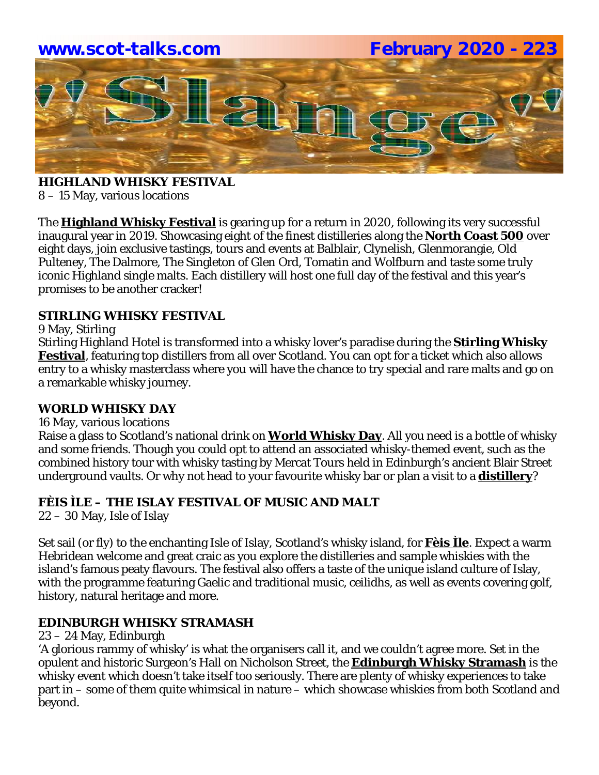

**HIGHLAND WHISKY FESTIVAL** 8 – 15 May, various locations

The **Highland Whisky Festival** is gearing up for a return in 2020, following its very successful inaugural year in 2019. Showcasing eight of the finest distilleries along the **North Coast 500** over eight days, join exclusive tastings, tours and events at Balblair, Clynelish, Glenmorangie, Old Pulteney, The Dalmore, The Singleton of Glen Ord, Tomatin and Wolfburn and taste some truly iconic Highland single malts. Each distillery will host one full day of the festival and this year's promises to be another cracker!

#### **STIRLING WHISKY FESTIVAL**

9 May, Stirling

Stirling Highland Hotel is transformed into a whisky lover's paradise during the **Stirling Whisky Festival**, featuring top distillers from all over Scotland. You can opt for a ticket which also allows entry to a whisky masterclass where you will have the chance to try special and rare malts and go on a remarkable whisky journey.

#### **WORLD WHISKY DAY**

#### 16 May, various locations

Raise a glass to Scotland's national drink on **World Whisky Day**. All you need is a bottle of whisky and some friends. Though you could opt to attend an associated whisky-themed event, such as the combined history tour with whisky tasting by Mercat Tours held in Edinburgh's ancient Blair Street underground vaults. Or why not head to your favourite whisky bar or plan a visit to a **distillery**?

#### **FÈIS ÌLE – THE ISLAY FESTIVAL OF MUSIC AND MALT**

22 – 30 May, Isle of Islay

Set sail (or fly) to the enchanting Isle of Islay, Scotland's whisky island, for **Fèis Ìle**. Expect a warm Hebridean welcome and great craic as you explore the distilleries and sample whiskies with the island's famous peaty flavours. The festival also offers a taste of the unique island culture of Islay, with the programme featuring Gaelic and traditional music, ceilidhs, as well as events covering golf, history, natural heritage and more.

#### **EDINBURGH WHISKY STRAMASH**

#### 23 – 24 May, Edinburgh

'A glorious rammy of whisky' is what the organisers call it, and we couldn't agree more. Set in the opulent and historic Surgeon's Hall on Nicholson Street, the **Edinburgh Whisky Stramash** is the whisky event which doesn't take itself too seriously. There are plenty of whisky experiences to take part in – some of them quite whimsical in nature – which showcase whiskies from both Scotland and beyond.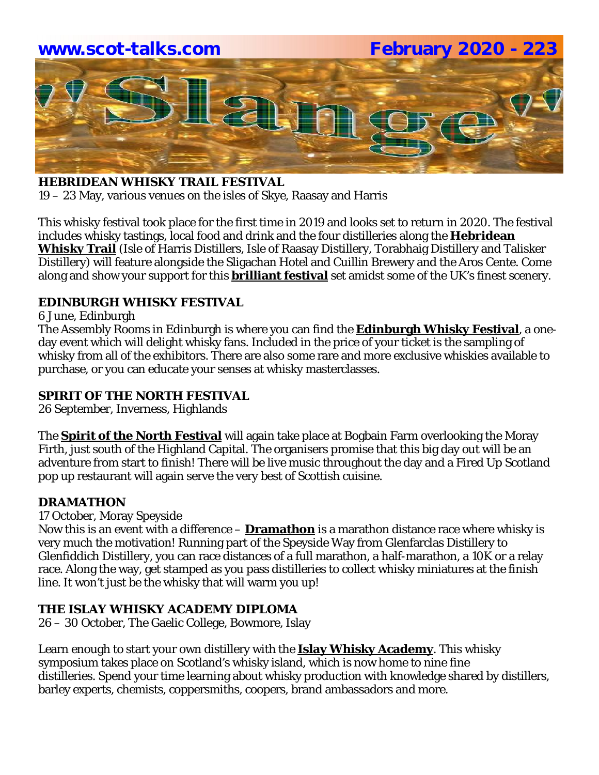# **www.scot-talks.com February 2020 - 223** <u>1211</u>

#### **HEBRIDEAN WHISKY TRAIL FESTIVAL**

19 – 23 May, various venues on the isles of Skye, Raasay and Harris

This whisky festival took place for the first time in 2019 and looks set to return in 2020. The festival includes whisky tastings, local food and drink and the four distilleries along the **Hebridean Whisky Trail** (Isle of Harris Distillers, Isle of Raasay Distillery, Torabhaig Distillery and Talisker Distillery) will feature alongside the Sligachan Hotel and Cuillin Brewery and the Aros Cente. Come along and show your support for this **brilliant festival** set amidst some of the UK's finest scenery.

#### **EDINBURGH WHISKY FESTIVAL**

6 June, Edinburgh

The Assembly Rooms in Edinburgh is where you can find the **Edinburgh Whisky Festival**, a oneday event which will delight whisky fans. Included in the price of your ticket is the sampling of whisky from all of the exhibitors. There are also some rare and more exclusive whiskies available to purchase, or you can educate your senses at whisky masterclasses.

#### **SPIRIT OF THE NORTH FESTIVAL**

26 September, Inverness, Highlands

The **Spirit of the North Festival** will again take place at Bogbain Farm overlooking the Moray Firth, just south of the Highland Capital. The organisers promise that this big day out will be an adventure from start to finish! There will be live music throughout the day and a Fired Up Scotland pop up restaurant will again serve the very best of Scottish cuisine.

#### **DRAMATHON**

17 October, Moray Speyside

Now this is an event with a difference – **Dramathon** is a marathon distance race where whisky is very much the motivation! Running part of the Speyside Way from Glenfarclas Distillery to Glenfiddich Distillery, you can race distances of a full marathon, a half-marathon, a 10K or a relay race. Along the way, get stamped as you pass distilleries to collect whisky miniatures at the finish line. It won't just be the whisky that will warm you up!

#### **THE ISLAY WHISKY ACADEMY DIPLOMA**

26 – 30 October, The Gaelic College, Bowmore, Islay

Learn enough to start your own distillery with the **Islay Whisky Academy**. This whisky symposium takes place on Scotland's whisky island, which is now home to nine fine distilleries. Spend your time learning about whisky production with knowledge shared by distillers, barley experts, chemists, coppersmiths, coopers, brand ambassadors and more.